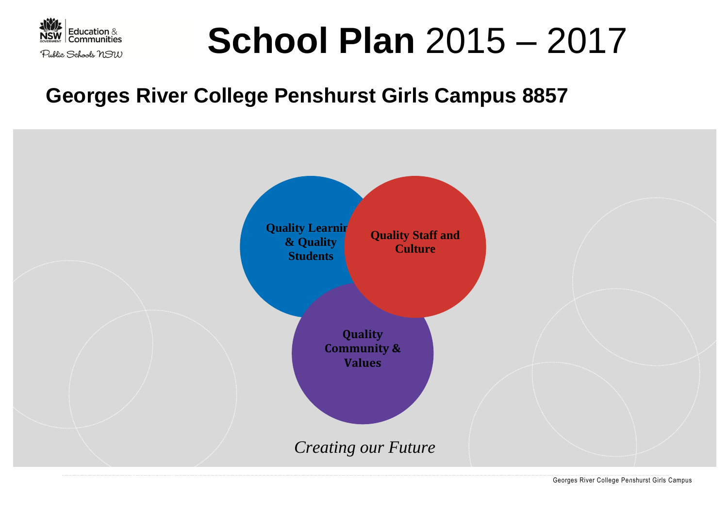

# **School Plan** 2015 – 2017

## **Georges River College Penshurst Girls Campus 8857**

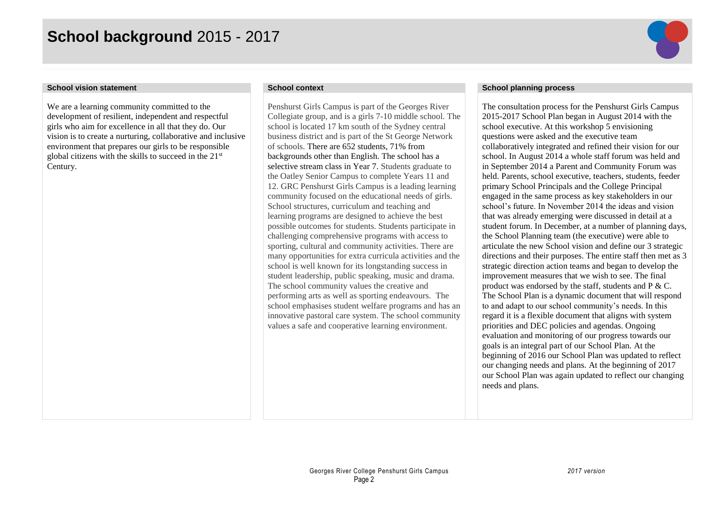## **School background** 2015 - 2017



We are a learning community committed to the development of resilient, independent and respectful girls who aim for excellence in all that they do. Our vision is to create a nurturing, collaborative and inclusive environment that prepares our girls to be responsible global citizens with the skills to succeed in the 21st Century.

Penshurst Girls Campus is part of the Georges River Collegiate group, and is a girls 7-10 middle school. The school is located 17 km south of the Sydney central business district and is part of the St George Network of schools. There are 652 students, 71% from backgrounds other than English. The school has a selective stream class in Year 7. Students graduate to the Oatley Senior Campus to complete Years 11 and 12. GRC Penshurst Girls Campus is a leading learning community focused on the educational needs of girls. School structures, curriculum and teaching and learning programs are designed to achieve the best possible outcomes for students. Students participate in challenging comprehensive programs with access to sporting, cultural and community activities. There are many opportunities for extra curricula activities and the school is well known for its longstanding success in student leadership, public speaking, music and drama. The school community values the creative and performing arts as well as sporting endeavours. The school emphasises student welfare programs and has an innovative pastoral care system. The school community values a safe and cooperative learning environment.

### **School vision statement School context School planning process**

The consultation process for the Penshurst Girls Campus 2015-2017 School Plan began in August 2014 with the school executive. At this workshop 5 envisioning questions were asked and the executive team collaboratively integrated and refined their vision for our school. In August 2014 a whole staff forum was held and in September 2014 a Parent and Community Forum was held. Parents, school executive, teachers, students, feeder primary School Principals and the College Principal engaged in the same process as key stakeholders in our school's future. In November 2014 the ideas and vision that was already emerging were discussed in detail at a student forum. In December, at a number of planning days, the School Planning team (the executive) were able to articulate the new School vision and define our 3 strategic directions and their purposes. The entire staff then met as 3 strategic direction action teams and began to develop the improvement measures that we wish to see. The final product was endorsed by the staff, students and  $P \& C$ . The School Plan is a dynamic document that will respond to and adapt to our school community's needs. In this regard it is a flexible document that aligns with system priorities and DEC policies and agendas. Ongoing evaluation and monitoring of our progress towards our goals is an integral part of our School Plan. At the beginning of 2016 our School Plan was updated to reflect our changing needs and plans. At the beginning of 2017 our School Plan was again updated to reflect our changing needs and plans.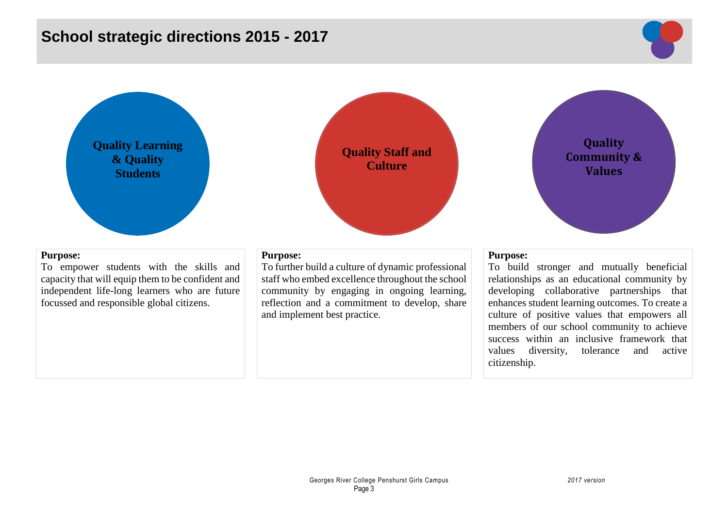## **School strategic directions 2015 - 2017**







To empower students with the skills and capacity that will equip them to be confident and independent life-long learners who are future focussed and responsible global citizens.

### **Purpose:**

To further build a culture of dynamic professional staff who embed excellence throughout the school community by engaging in ongoing learning, reflection and a commitment to develop, share and implement best practice.

**Quality Staff and Culture**

### **Purpose:**

To build stronger and mutually beneficial relationships as an educational community by developing collaborative partnerships that enhances student learning outcomes. To create a culture of positive values that empowers all members of our school community to achieve success within an inclusive framework that values diversity, tolerance and active citizenship.

**Quality Community & Values**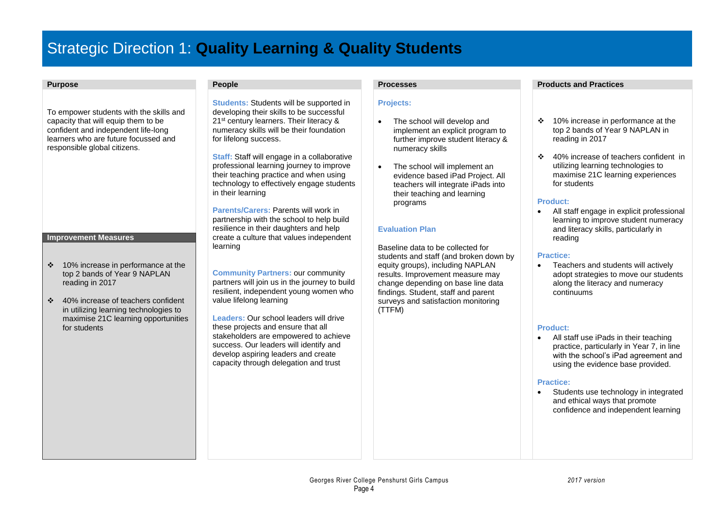## Strategic Direction 1: **Quality Learning & Quality Students**

To empower students with the skills and capacity that will equip them to be confident and independent life-long learners who are future focussed and responsible global citizens.

#### **Improvement Measures**

- 10% increase in performance at the top 2 bands of Year 9 NAPLAN reading in 2017
- 40% increase of teachers confident in utilizing learning technologies to maximise 21C learning opportunities for students

**Students: Students will be supported in** developing their skills to be successful 21<sup>st</sup> century learners. Their literacy & numeracy skills will be their foundation for lifelong success.

**Staff:** Staff will engage in a collaborative professional learning journey to improve their teaching practice and when using technology to effectively engage students in their learning

**Parents/Carers:** Parents will work in partnership with the school to help build resilience in their daughters and help create a culture that values independent learning

**Community Partners:** our community partners will join us in the journey to build resilient, independent young women who value lifelong learning

**Leaders:** Our school leaders will drive these projects and ensure that all stakeholders are empowered to achieve success. Our leaders will identify and develop aspiring leaders and create capacity through delegation and trust

### **Projects:**

- The school will develop and implement an explicit program to further improve student literacy & numeracy skills
- The school will implement an evidence based iPad Project. All teachers will integrate iPads into their teaching and learning programs

### **Evaluation Plan**

Baseline data to be collected for students and staff (and broken down by equity groups), including NAPLAN results. Improvement measure may change depending on base line data findings. Student, staff and parent surveys and satisfaction monitoring (TTFM)

### **Purpose People Processes Products and Practices**

- 10% increase in performance at the top 2 bands of Year 9 NAPLAN in reading in 2017
- ❖ 40% increase of teachers confident in utilizing learning technologies to maximise 21C learning experiences for students

#### **Product:**

 All staff engage in explicit professional learning to improve student numeracy and literacy skills, particularly in reading

#### **Practice:**

 Teachers and students will actively adopt strategies to move our students along the literacy and numeracy continuums

#### **Product:**

 All staff use iPads in their teaching practice, particularly in Year 7, in line with the school's iPad agreement and using the evidence base provided.

#### **Practice:**

 Students use technology in integrated and ethical ways that promote confidence and independent learning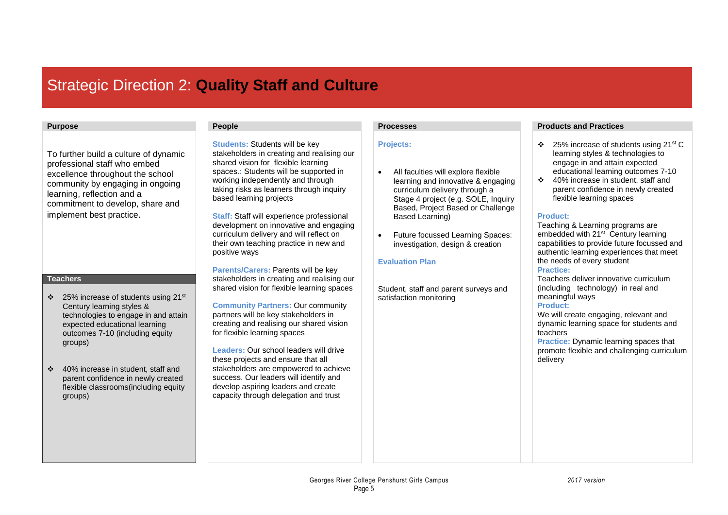## Strategic Direction 2: **Quality Staff and Culture**

To further build a culture of dynamic professional staff who embed excellence throughout the school community by engaging in ongoing learning, reflection and a commitment to develop, share and implement best practice.

### **Teachers**

- 25% increase of students using 21st Century learning styles & technologies to engage in and attain expected educational learning outcomes 7-10 (including equity groups)
- 40% increase in student, staff and parent confidence in newly created flexible classrooms(including equity groups)

**Students:** Students will be key stakeholders in creating and realising our shared vision for flexible learning spaces.**:** Students will be supported in working independently and through taking risks as learners through inquiry based learning projects

**Staff:** Staff will experience professional development on innovative and engaging curriculum delivery and will reflect on their own teaching practice in new and positive ways

**Parents/Carers: Parents will be key** stakeholders in creating and realising our shared vision for flexible learning spaces

**Community Partners:** Our community partners will be key stakeholders in creating and realising our shared vision for flexible learning spaces

**Leaders:** Our school leaders will drive these projects and ensure that all stakeholders are empowered to achieve success. Our leaders will identify and develop aspiring leaders and create capacity through delegation and trust

### **Projects:**

- All faculties will explore flexible learning and innovative & engaging curriculum delivery through a Stage 4 project (e.g. SOLE, Inquiry Based, Project Based or Challenge Based Learning)
- Future focussed Learning Spaces: investigation, design & creation

### **Evaluation Plan**

Student, staff and parent surveys and satisfaction monitoring

### **Purpose People Processes Products and Practices**

- 25% increase of students using 21st C learning styles & technologies to engage in and attain expected educational learning outcomes 7-10
- ❖ 40% increase in student, staff and parent confidence in newly created flexible learning spaces

### **Product:**

Teaching & Learning programs are embedded with 21<sup>st</sup> Century learning capabilities to provide future focussed and authentic learning experiences that meet the needs of every student

### **Practice:**

Teachers deliver innovative curriculum (including technology) in real and meaningful ways

#### **Product:**

We will create engaging, relevant and dynamic learning space for students and teachers

**Practice:** Dynamic learning spaces that promote flexible and challenging curriculum delivery